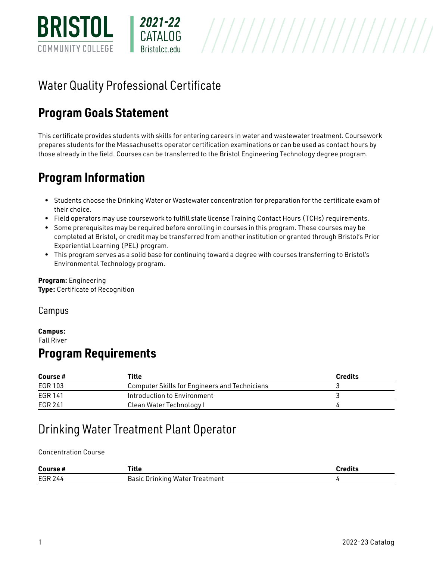

# Water Quality Professional Certificate

## **Program Goals Statement**

This certificate provides students with skills for entering careers in water and wastewater treatment. Coursework prepares students for the Massachusetts operator certification examinations or can be used as contact hours by those already in the field. Courses can be transferred to the Bristol Engineering Technology degree program.

## **Program Information**

- Students choose the Drinking Water or Wastewater concentration for preparation for the certificate exam of their choice.
- Field operators may use coursework to fulfill state license Training Contact Hours (TCHs) requirements.
- Some prerequisites may be required before enrolling in courses in this program. These courses may be completed at Bristol, or credit may be transferred from another institution or granted through Bristol's Prior Experiential Learning (PEL) program.
- This program serves as a solid base for continuing toward a degree with courses transferring to Bristol's Environmental Technology program.

**Program:** [Engineering](http://live-bristol-catalog.pantheonsite.io/engineering)  **Type:** Certificate of Recognition

Campus

#### **Campus:**  [Fall River](http://live-bristol-catalog.pantheonsite.io/taxonomy/term/1709)

### **Program Requirements**

| Course# | Title                                                | <b>Credits</b> |
|---------|------------------------------------------------------|----------------|
| EGR 103 | <b>Computer Skills for Engineers and Technicians</b> |                |
| EGR 141 | Introduction to Environment                          |                |
| EGR 241 | Clean Water Technology I                             |                |

## Drinking Water Treatment Plant Operator

Concentration Course

| Course#        | Title                                        | <b>redits</b> |
|----------------|----------------------------------------------|---------------|
| <b>EGR 244</b> | <b>Basic</b><br>Drinking Water.<br>Treatment |               |